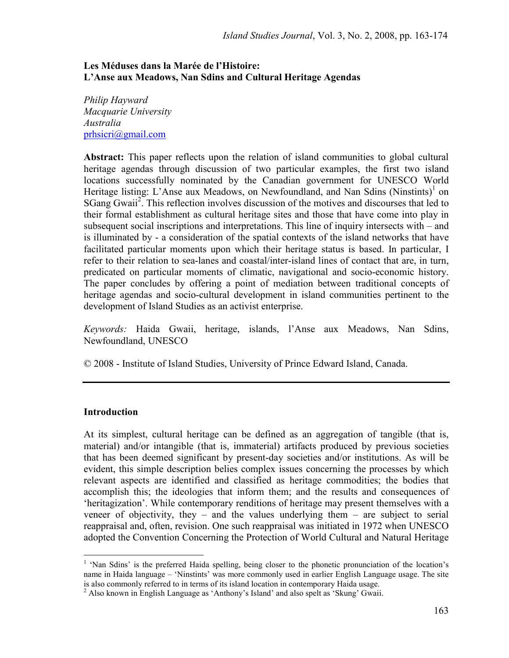### Les Méduses dans la Marée de l'Histoire: L'Anse aux Meadows, Nan Sdins and Cultural Heritage Agendas

*Philip Hayward Macquarie University Australia*  prhsicri@gmail.com

Abstract: This paper reflects upon the relation of island communities to global cultural heritage agendas through discussion of two particular examples, the first two island locations successfully nominated by the Canadian government for UNESCO World Heritage listing: L'Anse aux Meadows, on Newfoundland, and Nan Sdins (Ninstints)<sup>1</sup> on SGang Gwaii<sup>2</sup>. This reflection involves discussion of the motives and discourses that led to their formal establishment as cultural heritage sites and those that have come into play in subsequent social inscriptions and interpretations. This line of inquiry intersects with – and is illuminated by - a consideration of the spatial contexts of the island networks that have facilitated particular moments upon which their heritage status is based. In particular, I refer to their relation to sea-lanes and coastal/inter-island lines of contact that are, in turn, predicated on particular moments of climatic, navigational and socio-economic history. The paper concludes by offering a point of mediation between traditional concepts of heritage agendas and socio-cultural development in island communities pertinent to the development of Island Studies as an activist enterprise.

*Keywords:* Haida Gwaii, heritage, islands, l'Anse aux Meadows, Nan Sdins, Newfoundland, UNESCO

© 2008 - Institute of Island Studies, University of Prince Edward Island, Canada.

## Introduction

-

At its simplest, cultural heritage can be defined as an aggregation of tangible (that is, material) and/or intangible (that is, immaterial) artifacts produced by previous societies that has been deemed significant by present-day societies and/or institutions. As will be evident, this simple description belies complex issues concerning the processes by which relevant aspects are identified and classified as heritage commodities; the bodies that accomplish this; the ideologies that inform them; and the results and consequences of 'heritagization'. While contemporary renditions of heritage may present themselves with a veneer of objectivity, they – and the values underlying them – are subject to serial reappraisal and, often, revision. One such reappraisal was initiated in 1972 when UNESCO adopted the Convention Concerning the Protection of World Cultural and Natural Heritage

<sup>&</sup>lt;sup>1</sup> 'Nan Sdins' is the preferred Haida spelling, being closer to the phonetic pronunciation of the location's name in Haida language – 'Ninstints' was more commonly used in earlier English Language usage. The site is also commonly referred to in terms of its island location in contemporary Haida usage.

<sup>&</sup>lt;sup>2</sup> Also known in English Language as 'Anthony's Island' and also spelt as 'Skung' Gwaii.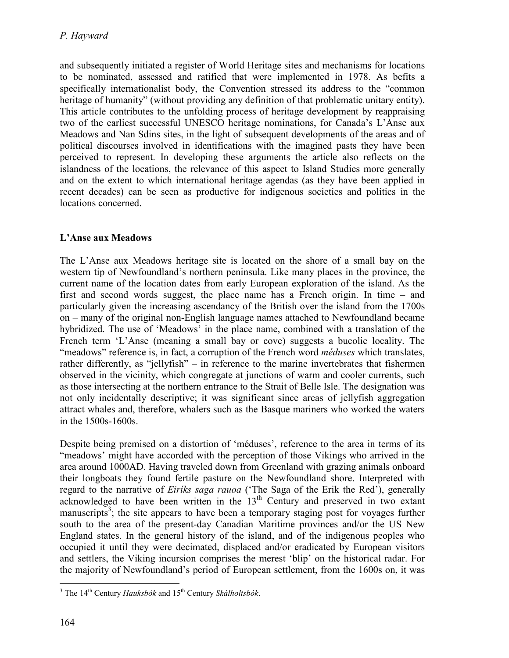and subsequently initiated a register of World Heritage sites and mechanisms for locations to be nominated, assessed and ratified that were implemented in 1978. As befits a specifically internationalist body, the Convention stressed its address to the "common heritage of humanity" (without providing any definition of that problematic unitary entity). This article contributes to the unfolding process of heritage development by reappraising two of the earliest successful UNESCO heritage nominations, for Canada's L'Anse aux Meadows and Nan Sdins sites, in the light of subsequent developments of the areas and of political discourses involved in identifications with the imagined pasts they have been perceived to represent. In developing these arguments the article also reflects on the islandness of the locations, the relevance of this aspect to Island Studies more generally and on the extent to which international heritage agendas (as they have been applied in recent decades) can be seen as productive for indigenous societies and politics in the locations concerned.

# L'Anse aux Meadows

The L'Anse aux Meadows heritage site is located on the shore of a small bay on the western tip of Newfoundland's northern peninsula. Like many places in the province, the current name of the location dates from early European exploration of the island. As the first and second words suggest, the place name has a French origin. In time – and particularly given the increasing ascendancy of the British over the island from the 1700s on – many of the original non-English language names attached to Newfoundland became hybridized. The use of 'Meadows' in the place name, combined with a translation of the French term 'L'Anse (meaning a small bay or cove) suggests a bucolic locality. The "meadows" reference is, in fact, a corruption of the French word *méduses* which translates, rather differently, as "jellyfish" – in reference to the marine invertebrates that fishermen observed in the vicinity, which congregate at junctions of warm and cooler currents, such as those intersecting at the northern entrance to the Strait of Belle Isle. The designation was not only incidentally descriptive; it was significant since areas of jellyfish aggregation attract whales and, therefore, whalers such as the Basque mariners who worked the waters in the 1500s-1600s.

Despite being premised on a distortion of 'méduses', reference to the area in terms of its "meadows' might have accorded with the perception of those Vikings who arrived in the area around 1000AD. Having traveled down from Greenland with grazing animals onboard their longboats they found fertile pasture on the Newfoundland shore. Interpreted with regard to the narrative of *Eiríks saga rauoa* ('The Saga of the Erik the Red'), generally acknowledged to have been written in the  $13<sup>th</sup>$  Century and preserved in two extant manuscripts<sup>3</sup>; the site appears to have been a temporary staging post for voyages further south to the area of the present-day Canadian Maritime provinces and/or the US New England states. In the general history of the island, and of the indigenous peoples who occupied it until they were decimated, displaced and/or eradicated by European visitors and settlers, the Viking incursion comprises the merest 'blip' on the historical radar. For the majority of Newfoundland's period of European settlement, from the 1600s on, it was

<sup>&</sup>lt;sup>3</sup> The 14<sup>th</sup> Century *Hauksbók* and 15<sup>th</sup> Century *Skálholtsbók*.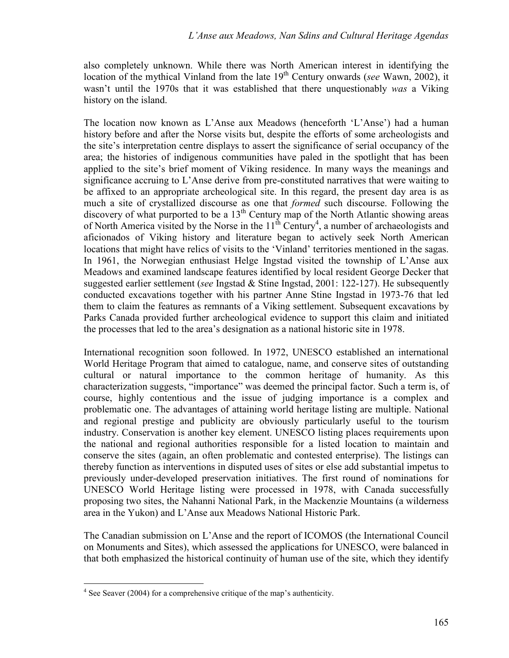also completely unknown. While there was North American interest in identifying the location of the mythical Vinland from the late 19<sup>th</sup> Century onwards (*see* Wawn, 2002), it wasn't until the 1970s that it was established that there unquestionably *was* a Viking history on the island.

The location now known as L'Anse aux Meadows (henceforth 'L'Anse') had a human history before and after the Norse visits but, despite the efforts of some archeologists and the site's interpretation centre displays to assert the significance of serial occupancy of the area; the histories of indigenous communities have paled in the spotlight that has been applied to the site's brief moment of Viking residence. In many ways the meanings and significance accruing to L'Anse derive from pre-constituted narratives that were waiting to be affixed to an appropriate archeological site. In this regard, the present day area is as much a site of crystallized discourse as one that *formed* such discourse. Following the discovery of what purported to be a  $13<sup>th</sup>$  Century map of the North Atlantic showing areas of North America visited by the Norse in the  $11<sup>th</sup>$  Century<sup>4</sup>, a number of archaeologists and aficionados of Viking history and literature began to actively seek North American locations that might have relics of visits to the 'Vinland' territories mentioned in the sagas. In 1961, the Norwegian enthusiast Helge Ingstad visited the township of L'Anse aux Meadows and examined landscape features identified by local resident George Decker that suggested earlier settlement (*see* Ingstad & Stine Ingstad, 2001: 122-127). He subsequently conducted excavations together with his partner Anne Stine Ingstad in 1973-76 that led them to claim the features as remnants of a Viking settlement. Subsequent excavations by Parks Canada provided further archeological evidence to support this claim and initiated the processes that led to the area's designation as a national historic site in 1978.

International recognition soon followed. In 1972, UNESCO established an international World Heritage Program that aimed to catalogue, name, and conserve sites of outstanding cultural or natural importance to the common heritage of humanity. As this characterization suggests, "importance" was deemed the principal factor. Such a term is, of course, highly contentious and the issue of judging importance is a complex and problematic one. The advantages of attaining world heritage listing are multiple. National and regional prestige and publicity are obviously particularly useful to the tourism industry. Conservation is another key element. UNESCO listing places requirements upon the national and regional authorities responsible for a listed location to maintain and conserve the sites (again, an often problematic and contested enterprise). The listings can thereby function as interventions in disputed uses of sites or else add substantial impetus to previously under-developed preservation initiatives. The first round of nominations for UNESCO World Heritage listing were processed in 1978, with Canada successfully proposing two sites, the Nahanni National Park, in the Mackenzie Mountains (a wilderness area in the Yukon) and L'Anse aux Meadows National Historic Park.

The Canadian submission on L'Anse and the report of ICOMOS (the International Council on Monuments and Sites), which assessed the applications for UNESCO, were balanced in that both emphasized the historical continuity of human use of the site, which they identify

<u>.</u>

<sup>&</sup>lt;sup>4</sup> See Seaver (2004) for a comprehensive critique of the map's authenticity.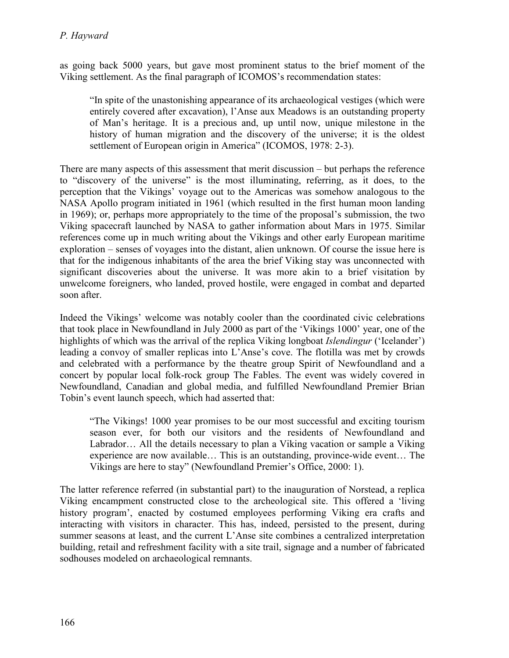as going back 5000 years, but gave most prominent status to the brief moment of the Viking settlement. As the final paragraph of ICOMOS's recommendation states:

"In spite of the unastonishing appearance of its archaeological vestiges (which were entirely covered after excavation), l'Anse aux Meadows is an outstanding property of Man's heritage. It is a precious and, up until now, unique milestone in the history of human migration and the discovery of the universe; it is the oldest settlement of European origin in America" (ICOMOS, 1978: 2-3).

There are many aspects of this assessment that merit discussion – but perhaps the reference to "discovery of the universe" is the most illuminating, referring, as it does, to the perception that the Vikings' voyage out to the Americas was somehow analogous to the NASA Apollo program initiated in 1961 (which resulted in the first human moon landing in 1969); or, perhaps more appropriately to the time of the proposal's submission, the two Viking spacecraft launched by NASA to gather information about Mars in 1975. Similar references come up in much writing about the Vikings and other early European maritime exploration – senses of voyages into the distant, alien unknown. Of course the issue here is that for the indigenous inhabitants of the area the brief Viking stay was unconnected with significant discoveries about the universe. It was more akin to a brief visitation by unwelcome foreigners, who landed, proved hostile, were engaged in combat and departed soon after.

Indeed the Vikings' welcome was notably cooler than the coordinated civic celebrations that took place in Newfoundland in July 2000 as part of the 'Vikings 1000' year, one of the highlights of which was the arrival of the replica Viking longboat *Islendingur* ('Icelander') leading a convoy of smaller replicas into L'Anse's cove. The flotilla was met by crowds and celebrated with a performance by the theatre group Spirit of Newfoundland and a concert by popular local folk-rock group The Fables. The event was widely covered in Newfoundland, Canadian and global media, and fulfilled Newfoundland Premier Brian Tobin's event launch speech, which had asserted that:

"The Vikings! 1000 year promises to be our most successful and exciting tourism season ever, for both our visitors and the residents of Newfoundland and Labrador… All the details necessary to plan a Viking vacation or sample a Viking experience are now available… This is an outstanding, province-wide event… The Vikings are here to stay" (Newfoundland Premier's Office, 2000: 1).

The latter reference referred (in substantial part) to the inauguration of Norstead, a replica Viking encampment constructed close to the archeological site. This offered a 'living history program', enacted by costumed employees performing Viking era crafts and interacting with visitors in character. This has, indeed, persisted to the present, during summer seasons at least, and the current L'Anse site combines a centralized interpretation building, retail and refreshment facility with a site trail, signage and a number of fabricated sodhouses modeled on archaeological remnants.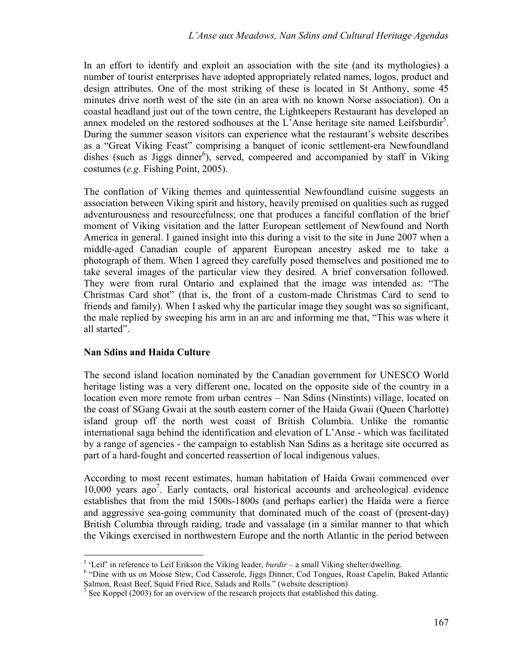In an effort to identify and exploit an association with the site (and its mythologies) a number of tourist enterprises have adopted appropriately related names, logos, product and design attributes. One of the most striking of these is located in St Anthony, some 45 minutes drive north west of the site (in an area with no known Norse association). On a coastal headland just out of the town centre, the Lightkeepers Restaurant has developed an annex modeled on the restored sodhouses at the L'Anse heritage site named Leifsburdir<sup>5</sup>. During the summer season visitors can experience what the restaurant's website describes as a "Great Viking Feast" comprising a banquet of iconic settlement-era Newfoundland dishes (such as Jiggs dinner<sup>6</sup>), served, compeered and accompanied by staff in Viking costumes (*e.g*. Fishing Point, 2005).

The conflation of Viking themes and quintessential Newfoundland cuisine suggests an association between Viking spirit and history, heavily premised on qualities such as rugged adventurousness and resourcefulness; one that produces a fanciful conflation of the brief moment of Viking visitation and the latter European settlement of Newfound and North America in general. I gained insight into this during a visit to the site in June 2007 when a middle-aged Canadian couple of apparent European ancestry asked me to take a photograph of them. When I agreed they carefully posed themselves and positioned me to take several images of the particular view they desired. A brief conversation followed. They were from rural Ontario and explained that the image was intended as: "The Christmas Card shot" (that is, the front of a custom-made Christmas Card to send to friends and family). When I asked why the particular image they sought was so significant, the male replied by sweeping his arm in an arc and informing me that, "This was where it all started".

## Nan Sdins and Haida Culture

The second island location nominated by the Canadian government for UNESCO World heritage listing was a very different one, located on the opposite side of the country in a location even more remote from urban centres – Nan Sdins (Ninstints) village, located on the coast of SGang Gwaii at the south eastern corner of the Haida Gwaii (Queen Charlotte) island group off the north west coast of British Columbia. Unlike the romantic international saga behind the identification and elevation of L'Anse - which was facilitated by a range of agencies - the campaign to establish Nan Sdins as a heritage site occurred as part of a hard-fought and concerted reassertion of local indigenous values.

According to most recent estimates, human habitation of Haida Gwaii commenced over 10,000 years ago<sup>7</sup>. Early contacts, oral historical accounts and archeological evidence establishes that from the mid 1500s-1800s (and perhaps earlier) the Haida were a fierce and aggressive sea-going community that dominated much of the coast of (present-day) British Columbia through raiding, trade and vassalage (in a similar manner to that which the Vikings exercised in northwestern Europe and the north Atlantic in the period between

<sup>-</sup><sup>5</sup> 'Leif' in reference to Leif Erikson the Viking leader, *burdir* – a small Viking shelter/dwelling.

<sup>&</sup>lt;sup>6</sup> "Dine with us on Moose Stew, Cod Casserole, Jiggs Dinner, Cod Tongues, Roast Capelin, Baked Atlantic Salmon, Roast Beef, Squid Fried Rice, Salads and Rolls." (website description)

 $<sup>7</sup>$  See Koppel (2003) for an overview of the research projects that established this dating.</sup>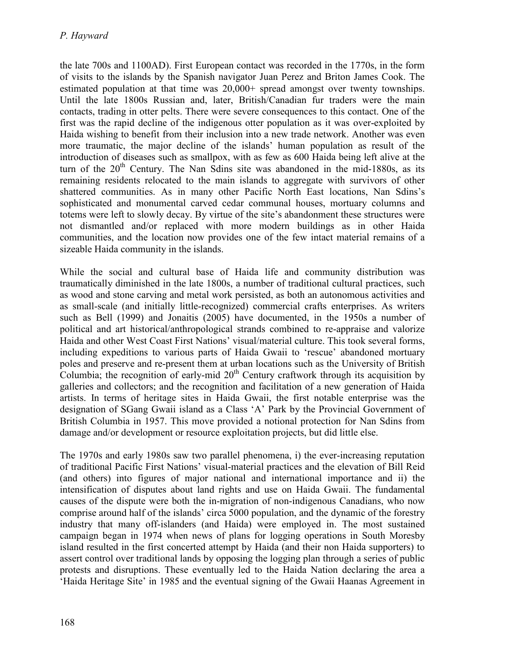the late 700s and 1100AD). First European contact was recorded in the 1770s, in the form of visits to the islands by the Spanish navigator Juan Perez and Briton James Cook. The estimated population at that time was  $20,000+$  spread amongst over twenty townships. Until the late 1800s Russian and, later, British/Canadian fur traders were the main contacts, trading in otter pelts. There were severe consequences to this contact. One of the first was the rapid decline of the indigenous otter population as it was over-exploited by Haida wishing to benefit from their inclusion into a new trade network. Another was even more traumatic, the major decline of the islands' human population as result of the introduction of diseases such as smallpox, with as few as 600 Haida being left alive at the turn of the  $20<sup>th</sup>$  Century. The Nan Sdins site was abandoned in the mid-1880s, as its remaining residents relocated to the main islands to aggregate with survivors of other shattered communities. As in many other Pacific North East locations, Nan Sdins's sophisticated and monumental carved cedar communal houses, mortuary columns and totems were left to slowly decay. By virtue of the site's abandonment these structures were not dismantled and/or replaced with more modern buildings as in other Haida communities, and the location now provides one of the few intact material remains of a sizeable Haida community in the islands.

While the social and cultural base of Haida life and community distribution was traumatically diminished in the late 1800s, a number of traditional cultural practices, such as wood and stone carving and metal work persisted, as both an autonomous activities and as small-scale (and initially little-recognized) commercial crafts enterprises. As writers such as Bell (1999) and Jonaitis (2005) have documented, in the 1950s a number of political and art historical/anthropological strands combined to re-appraise and valorize Haida and other West Coast First Nations' visual/material culture. This took several forms, including expeditions to various parts of Haida Gwaii to 'rescue' abandoned mortuary poles and preserve and re-present them at urban locations such as the University of British Columbia; the recognition of early-mid  $20<sup>th</sup>$  Century craftwork through its acquisition by galleries and collectors; and the recognition and facilitation of a new generation of Haida artists. In terms of heritage sites in Haida Gwaii, the first notable enterprise was the designation of SGang Gwaii island as a Class 'A' Park by the Provincial Government of British Columbia in 1957. This move provided a notional protection for Nan Sdins from damage and/or development or resource exploitation projects, but did little else.

The 1970s and early 1980s saw two parallel phenomena, i) the ever-increasing reputation of traditional Pacific First Nations' visual-material practices and the elevation of Bill Reid (and others) into figures of major national and international importance and ii) the intensification of disputes about land rights and use on Haida Gwaii. The fundamental causes of the dispute were both the in-migration of non-indigenous Canadians, who now comprise around half of the islands' circa 5000 population, and the dynamic of the forestry industry that many off-islanders (and Haida) were employed in. The most sustained campaign began in 1974 when news of plans for logging operations in South Moresby island resulted in the first concerted attempt by Haida (and their non Haida supporters) to assert control over traditional lands by opposing the logging plan through a series of public protests and disruptions. These eventually led to the Haida Nation declaring the area a 'Haida Heritage Site' in 1985 and the eventual signing of the Gwaii Haanas Agreement in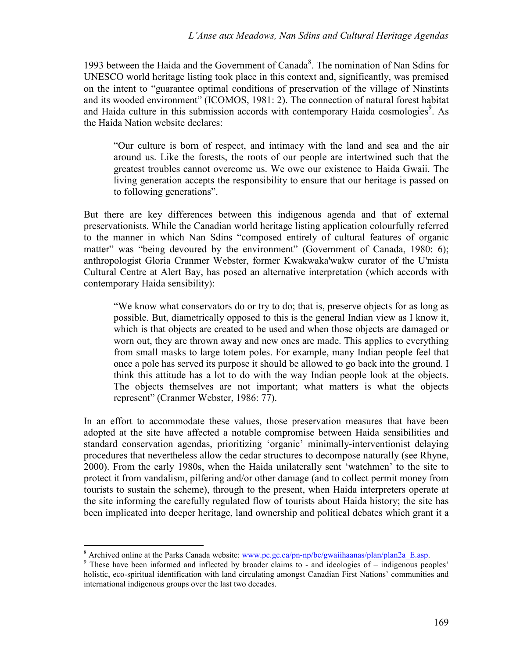1993 between the Haida and the Government of Canada<sup>8</sup>. The nomination of Nan Sdins for UNESCO world heritage listing took place in this context and, significantly, was premised on the intent to "guarantee optimal conditions of preservation of the village of Ninstints and its wooded environment" (ICOMOS, 1981: 2). The connection of natural forest habitat and Haida culture in this submission accords with contemporary Haida cosmologies<sup>9</sup>. As the Haida Nation website declares:

"Our culture is born of respect, and intimacy with the land and sea and the air around us. Like the forests, the roots of our people are intertwined such that the greatest troubles cannot overcome us. We owe our existence to Haida Gwaii. The living generation accepts the responsibility to ensure that our heritage is passed on to following generations".

But there are key differences between this indigenous agenda and that of external preservationists. While the Canadian world heritage listing application colourfully referred to the manner in which Nan Sdins "composed entirely of cultural features of organic matter" was "being devoured by the environment" (Government of Canada, 1980: 6); anthropologist Gloria Cranmer Webster, former Kwakwaka'wakw curator of the U'mista Cultural Centre at Alert Bay, has posed an alternative interpretation (which accords with contemporary Haida sensibility):

"We know what conservators do or try to do; that is, preserve objects for as long as possible. But, diametrically opposed to this is the general Indian view as I know it, which is that objects are created to be used and when those objects are damaged or worn out, they are thrown away and new ones are made. This applies to everything from small masks to large totem poles. For example, many Indian people feel that once a pole has served its purpose it should be allowed to go back into the ground. I think this attitude has a lot to do with the way Indian people look at the objects. The objects themselves are not important; what matters is what the objects represent" (Cranmer Webster, 1986: 77).

In an effort to accommodate these values, those preservation measures that have been adopted at the site have affected a notable compromise between Haida sensibilities and standard conservation agendas, prioritizing 'organic' minimally-interventionist delaying procedures that nevertheless allow the cedar structures to decompose naturally (see Rhyne, 2000). From the early 1980s, when the Haida unilaterally sent 'watchmen' to the site to protect it from vandalism, pilfering and/or other damage (and to collect permit money from tourists to sustain the scheme), through to the present, when Haida interpreters operate at the site informing the carefully regulated flow of tourists about Haida history; the site has been implicated into deeper heritage, land ownership and political debates which grant it a

<sup>&</sup>lt;sup>8</sup> Archived online at the Parks Canada website: www.pc.gc.ca/pn-np/bc/gwaiihaanas/plan/plan2a\_E.asp.

<sup>&</sup>lt;sup>9</sup> These have been informed and inflected by broader claims to - and ideologies of – indigenous peoples' holistic, eco-spiritual identification with land circulating amongst Canadian First Nations' communities and international indigenous groups over the last two decades.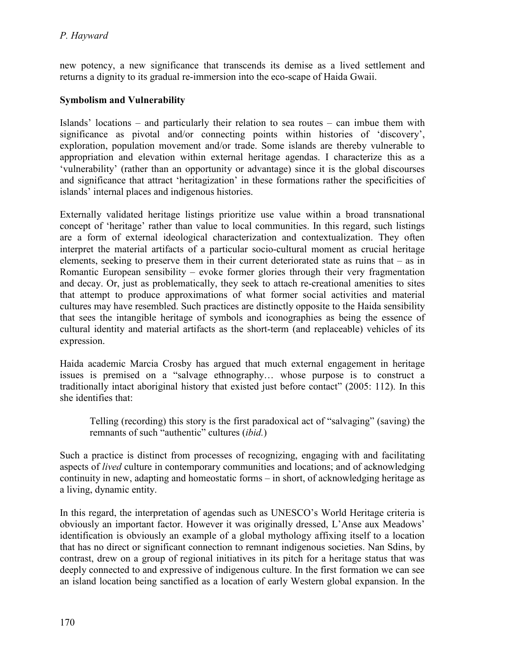new potency, a new significance that transcends its demise as a lived settlement and returns a dignity to its gradual re-immersion into the eco-scape of Haida Gwaii.

# Symbolism and Vulnerability

Islands' locations – and particularly their relation to sea routes – can imbue them with significance as pivotal and/or connecting points within histories of 'discovery', exploration, population movement and/or trade. Some islands are thereby vulnerable to appropriation and elevation within external heritage agendas. I characterize this as a 'vulnerability' (rather than an opportunity or advantage) since it is the global discourses and significance that attract 'heritagization' in these formations rather the specificities of islands' internal places and indigenous histories.

Externally validated heritage listings prioritize use value within a broad transnational concept of 'heritage' rather than value to local communities. In this regard, such listings are a form of external ideological characterization and contextualization. They often interpret the material artifacts of a particular socio-cultural moment as crucial heritage elements, seeking to preserve them in their current deteriorated state as ruins that – as in Romantic European sensibility – evoke former glories through their very fragmentation and decay. Or, just as problematically, they seek to attach re-creational amenities to sites that attempt to produce approximations of what former social activities and material cultures may have resembled. Such practices are distinctly opposite to the Haida sensibility that sees the intangible heritage of symbols and iconographies as being the essence of cultural identity and material artifacts as the short-term (and replaceable) vehicles of its expression.

Haida academic Marcia Crosby has argued that much external engagement in heritage issues is premised on a "salvage ethnography… whose purpose is to construct a traditionally intact aboriginal history that existed just before contact" (2005: 112). In this she identifies that:

Telling (recording) this story is the first paradoxical act of "salvaging" (saving) the remnants of such "authentic" cultures (*ibid.*)

Such a practice is distinct from processes of recognizing, engaging with and facilitating aspects of *lived* culture in contemporary communities and locations; and of acknowledging continuity in new, adapting and homeostatic forms – in short, of acknowledging heritage as a living, dynamic entity.

In this regard, the interpretation of agendas such as UNESCO's World Heritage criteria is obviously an important factor. However it was originally dressed, L'Anse aux Meadows' identification is obviously an example of a global mythology affixing itself to a location that has no direct or significant connection to remnant indigenous societies. Nan Sdins, by contrast, drew on a group of regional initiatives in its pitch for a heritage status that was deeply connected to and expressive of indigenous culture. In the first formation we can see an island location being sanctified as a location of early Western global expansion. In the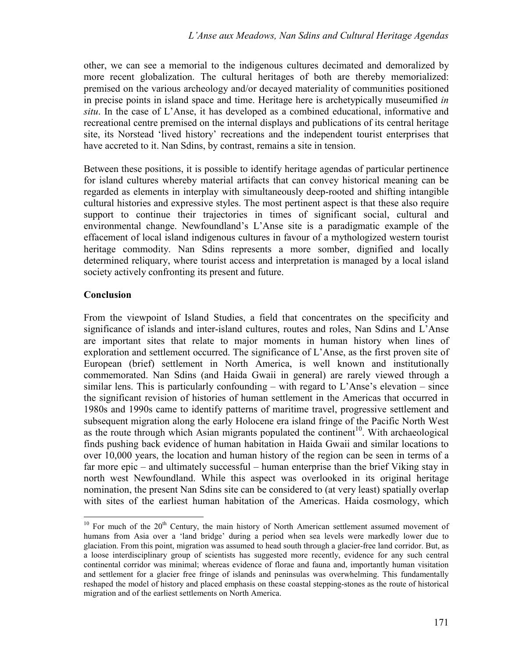other, we can see a memorial to the indigenous cultures decimated and demoralized by more recent globalization. The cultural heritages of both are thereby memorialized: premised on the various archeology and/or decayed materiality of communities positioned in precise points in island space and time. Heritage here is archetypically museumified *in situ*. In the case of L'Anse, it has developed as a combined educational, informative and recreational centre premised on the internal displays and publications of its central heritage site, its Norstead 'lived history' recreations and the independent tourist enterprises that have accreted to it. Nan Sdins, by contrast, remains a site in tension.

Between these positions, it is possible to identify heritage agendas of particular pertinence for island cultures whereby material artifacts that can convey historical meaning can be regarded as elements in interplay with simultaneously deep-rooted and shifting intangible cultural histories and expressive styles. The most pertinent aspect is that these also require support to continue their trajectories in times of significant social, cultural and environmental change. Newfoundland's L'Anse site is a paradigmatic example of the effacement of local island indigenous cultures in favour of a mythologized western tourist heritage commodity. Nan Sdins represents a more somber, dignified and locally determined reliquary, where tourist access and interpretation is managed by a local island society actively confronting its present and future.

### **Conclusion**

-

From the viewpoint of Island Studies, a field that concentrates on the specificity and significance of islands and inter-island cultures, routes and roles, Nan Sdins and L'Anse are important sites that relate to major moments in human history when lines of exploration and settlement occurred. The significance of L'Anse, as the first proven site of European (brief) settlement in North America, is well known and institutionally commemorated. Nan Sdins (and Haida Gwaii in general) are rarely viewed through a similar lens. This is particularly confounding – with regard to  $L$ 'Anse's elevation – since the significant revision of histories of human settlement in the Americas that occurred in 1980s and 1990s came to identify patterns of maritime travel, progressive settlement and subsequent migration along the early Holocene era island fringe of the Pacific North West as the route through which Asian migrants populated the continent<sup>10</sup>. With archaeological finds pushing back evidence of human habitation in Haida Gwaii and similar locations to over 10,000 years, the location and human history of the region can be seen in terms of a far more epic – and ultimately successful – human enterprise than the brief Viking stay in north west Newfoundland. While this aspect was overlooked in its original heritage nomination, the present Nan Sdins site can be considered to (at very least) spatially overlap with sites of the earliest human habitation of the Americas. Haida cosmology, which

 $10$  For much of the  $20<sup>th</sup>$  Century, the main history of North American settlement assumed movement of humans from Asia over a 'land bridge' during a period when sea levels were markedly lower due to glaciation. From this point, migration was assumed to head south through a glacier-free land corridor. But, as a loose interdisciplinary group of scientists has suggested more recently, evidence for any such central continental corridor was minimal; whereas evidence of florae and fauna and, importantly human visitation and settlement for a glacier free fringe of islands and peninsulas was overwhelming. This fundamentally reshaped the model of history and placed emphasis on these coastal stepping-stones as the route of historical migration and of the earliest settlements on North America.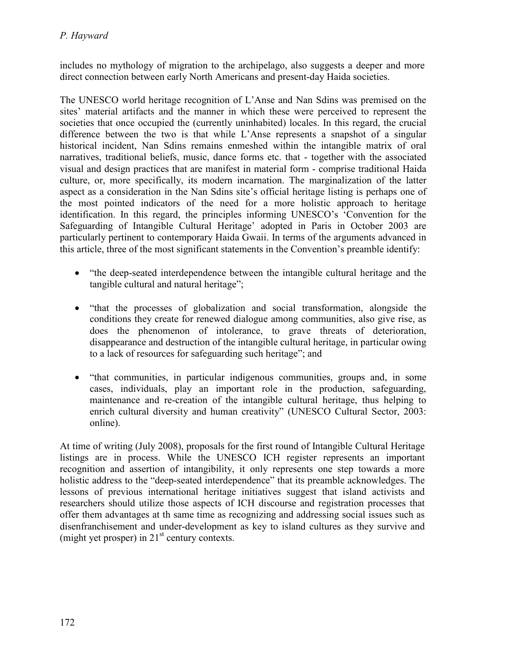includes no mythology of migration to the archipelago, also suggests a deeper and more direct connection between early North Americans and present-day Haida societies.

The UNESCO world heritage recognition of L'Anse and Nan Sdins was premised on the sites' material artifacts and the manner in which these were perceived to represent the societies that once occupied the (currently uninhabited) locales. In this regard, the crucial difference between the two is that while L'Anse represents a snapshot of a singular historical incident, Nan Sdins remains enmeshed within the intangible matrix of oral narratives, traditional beliefs, music, dance forms etc. that - together with the associated visual and design practices that are manifest in material form - comprise traditional Haida culture, or, more specifically, its modern incarnation. The marginalization of the latter aspect as a consideration in the Nan Sdins site's official heritage listing is perhaps one of the most pointed indicators of the need for a more holistic approach to heritage identification. In this regard, the principles informing UNESCO's 'Convention for the Safeguarding of Intangible Cultural Heritage' adopted in Paris in October 2003 are particularly pertinent to contemporary Haida Gwaii. In terms of the arguments advanced in this article, three of the most significant statements in the Convention's preamble identify:

- "the deep-seated interdependence between the intangible cultural heritage and the tangible cultural and natural heritage";
- "that the processes of globalization and social transformation, alongside the conditions they create for renewed dialogue among communities, also give rise, as does the phenomenon of intolerance, to grave threats of deterioration, disappearance and destruction of the intangible cultural heritage, in particular owing to a lack of resources for safeguarding such heritage"; and
- "that communities, in particular indigenous communities, groups and, in some cases, individuals, play an important role in the production, safeguarding, maintenance and re-creation of the intangible cultural heritage, thus helping to enrich cultural diversity and human creativity" (UNESCO Cultural Sector, 2003: online).

At time of writing (July 2008), proposals for the first round of Intangible Cultural Heritage listings are in process. While the UNESCO ICH register represents an important recognition and assertion of intangibility, it only represents one step towards a more holistic address to the "deep-seated interdependence" that its preamble acknowledges. The lessons of previous international heritage initiatives suggest that island activists and researchers should utilize those aspects of ICH discourse and registration processes that offer them advantages at th same time as recognizing and addressing social issues such as disenfranchisement and under-development as key to island cultures as they survive and (might yet prosper) in  $21<sup>st</sup>$  century contexts.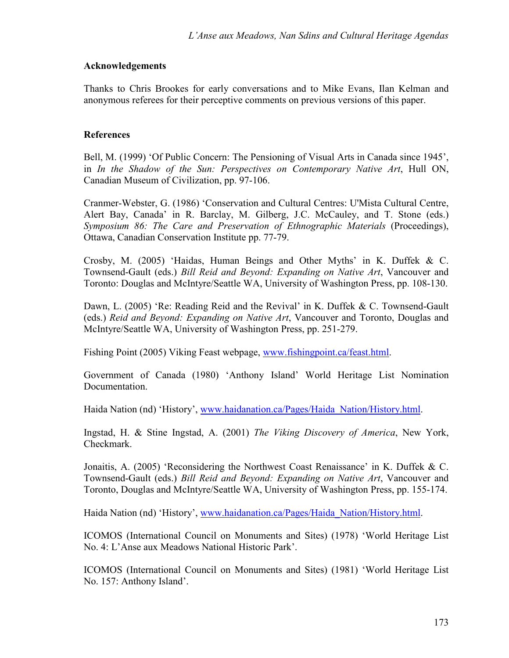#### Acknowledgements

Thanks to Chris Brookes for early conversations and to Mike Evans, Ilan Kelman and anonymous referees for their perceptive comments on previous versions of this paper.

#### References

Bell, M. (1999) 'Of Public Concern: The Pensioning of Visual Arts in Canada since 1945', in *In the Shadow of the Sun: Perspectives on Contemporary Native Art*, Hull ON, Canadian Museum of Civilization, pp. 97-106.

Cranmer-Webster, G. (1986) 'Conservation and Cultural Centres: U'Mista Cultural Centre, Alert Bay, Canada' in R. Barclay, M. Gilberg, J.C. McCauley, and T. Stone (eds.) *Symposium 86: The Care and Preservation of Ethnographic Materials* (Proceedings), Ottawa, Canadian Conservation Institute pp. 77-79.

Crosby, M. (2005) 'Haidas, Human Beings and Other Myths' in K. Duffek & C. Townsend-Gault (eds.) *Bill Reid and Beyond: Expanding on Native Art*, Vancouver and Toronto: Douglas and McIntyre/Seattle WA, University of Washington Press, pp. 108-130.

Dawn, L. (2005) 'Re: Reading Reid and the Revival' in K. Duffek & C. Townsend-Gault (eds.) *Reid and Beyond: Expanding on Native Art*, Vancouver and Toronto, Douglas and McIntyre/Seattle WA, University of Washington Press, pp. 251-279.

Fishing Point (2005) Viking Feast webpage, www.fishingpoint.ca/feast.html.

Government of Canada (1980) 'Anthony Island' World Heritage List Nomination Documentation.

Haida Nation (nd) 'History', www.haidanation.ca/Pages/Haida\_Nation/History.html.

Ingstad, H. & Stine Ingstad, A. (2001) *The Viking Discovery of America*, New York, Checkmark.

Jonaitis, A. (2005) 'Reconsidering the Northwest Coast Renaissance' in K. Duffek & C. Townsend-Gault (eds.) *Bill Reid and Beyond: Expanding on Native Art*, Vancouver and Toronto, Douglas and McIntyre/Seattle WA, University of Washington Press, pp. 155-174.

Haida Nation (nd) 'History', www.haidanation.ca/Pages/Haida\_Nation/History.html.

ICOMOS (International Council on Monuments and Sites) (1978) 'World Heritage List No. 4: L'Anse aux Meadows National Historic Park'.

ICOMOS (International Council on Monuments and Sites) (1981) 'World Heritage List No. 157: Anthony Island'.